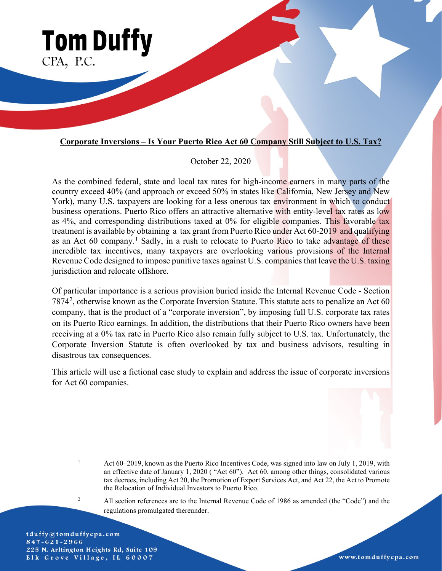## **Corporate Inversions – Is Your Puerto Rico Act 60 Company Still Subject to U.S. Tax?**

#### October 22, 2020

As the combined federal, state and local tax rates for high-income earners in many parts of the country exceed 40% (and approach or exceed 50% in states like California, New Jersey and New York), many U.S. taxpayers are looking for a less onerous tax environment in which to conduct business operations. Puerto Rico offers an attractive alternative with entity-level tax rates as low as 4%, and corresponding distributions taxed at 0% for eligible companies. This favorable tax treatment is available by obtaining a tax grant from Puerto Rico under Act 60-2019 and qualifying as an Act 60 company.<sup>[1](#page-0-0)</sup> Sadly, in a rush to relocate to Puerto Rico to take advantage of these incredible tax incentives, many taxpayers are overlooking various provisions of the Internal Revenue Code designed to impose punitive taxes against U.S. companies that leave the U.S. taxing jurisdiction and relocate offshore.

Of particular importance is a serious provision buried inside the Internal Revenue Code - Section 7874<sup>[2](#page-0-1)</sup>, otherwise known as the Corporate Inversion Statute. This statute acts to penalize an Act 60 company, that is the product of a "corporate inversion", by imposing full U.S. corporate tax rates on its Puerto Rico earnings. In addition, the distributions that their Puerto Rico owners have been receiving at a 0% tax rate in Puerto Rico also remain fully subject to U.S. tax. Unfortunately, the Corporate Inversion Statute is often overlooked by tax and business advisors, resulting in disastrous tax consequences.

This article will use a fictional case study to explain and address the issue of corporate inversions for Act 60 companies.

<span id="page-0-1"></span><span id="page-0-0"></span>tduffy@tomduffycpa.com 847-621-2966 225 N. Arltington Heights Rd, Suite 109 Elk Grove Village, IL 60007

**Tom Duffy** 

CPA, P.C.

<sup>&</sup>lt;sup>1</sup> Act 60–2019, known as the Puerto Rico Incentives Code, was signed into law on July 1, 2019, with an effective date of January 1, 2020 ( "Act 60"). Act 60, among other things, consolidated various tax decrees, including Act 20, the Promotion of Export Services Act, and Act 22, the Act to Promote the Relocation of Individual Investors to Puerto Rico.

<sup>&</sup>lt;sup>2</sup> All section references are to the Internal Revenue Code of 1986 as amended (the "Code") and the regulations promulgated thereunder.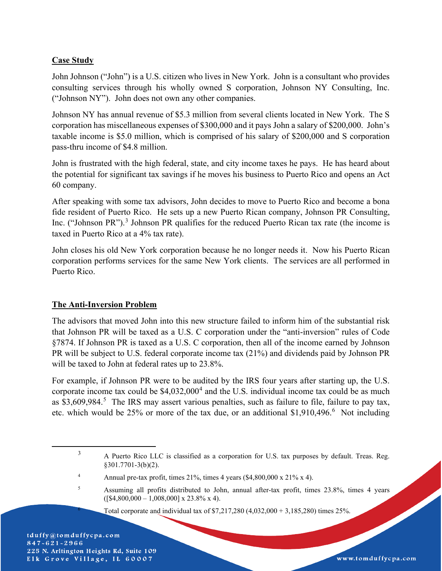### **Case Study**

John Johnson ("John") is a U.S. citizen who lives in New York. John is a consultant who provides consulting services through his wholly owned S corporation, Johnson NY Consulting, Inc. ("Johnson NY"). John does not own any other companies.

Johnson NY has annual revenue of \$5.3 million from several clients located in New York. The S corporation has miscellaneous expenses of \$300,000 and it pays John a salary of \$200,000. John's taxable income is \$5.0 million, which is comprised of his salary of \$200,000 and S corporation pass-thru income of \$4.8 million.

John is frustrated with the high federal, state, and city income taxes he pays. He has heard about the potential for significant tax savings if he moves his business to Puerto Rico and opens an Act 60 company.

After speaking with some tax advisors, John decides to move to Puerto Rico and become a bona fide resident of Puerto Rico. He sets up a new Puerto Rican company, Johnson PR Consulting, Inc. ("Johnson PR").<sup>[3](#page-1-0)</sup> Johnson PR qualifies for the reduced Puerto Rican tax rate (the income is taxed in Puerto Rico at a 4% tax rate).

John closes his old New York corporation because he no longer needs it. Now his Puerto Rican corporation performs services for the same New York clients. The services are all performed in Puerto Rico.

#### **The Anti-Inversion Problem**

The advisors that moved John into this new structure failed to inform him of the substantial risk that Johnson PR will be taxed as a U.S. C corporation under the "anti-inversion" rules of Code §7874. If Johnson PR is taxed as a U.S. C corporation, then all of the income earned by Johnson PR will be subject to U.S. federal corporate income tax (21%) and dividends paid by Johnson PR will be taxed to John at federal rates up to 23.8%.

For example, if Johnson PR were to be audited by the IRS four years after starting up, the U.S. corporate income tax could be  $$4,032,000<sup>4</sup>$  $$4,032,000<sup>4</sup>$  $$4,032,000<sup>4</sup>$  and the U.S. individual income tax could be as much as \$3,609,984.<sup>[5](#page-1-2)</sup> The IRS may assert various penalties, such as failure to file, failure to pay tax, etc. which would be 25% or more of the tax due, or an additional \$1,910,49[6](#page-1-3).<sup>6</sup> Not including

<span id="page-1-3"></span><span id="page-1-2"></span><span id="page-1-1"></span>tduffy@tomduffycpa.com  $847 - 621 - 2966$ 225 N. Arltington Heights Rd, Suite 109 Elk Grove Village, IL 60007

www.tomduffycpa.com

<span id="page-1-0"></span><sup>&</sup>lt;sup>3</sup> A Puerto Rico LLC is classified as a corporation for U.S. tax purposes by default. Treas. Reg. §301.7701-3(b)(2).

<sup>4</sup> Annual pre-tax profit, times  $21\%$ , times 4 years (\$4,800,000 x  $21\%$  x 4).

<sup>5</sup> Assuming all profits distributed to John, annual after-tax profit, times 23.8%, times 4 years  $([\$4,800,000 - 1,008,000] \times 23.8\% \times 4).$ 

Total corporate and individual tax of  $$7,217,280$  (4,032,000 + 3,185,280) times 25%.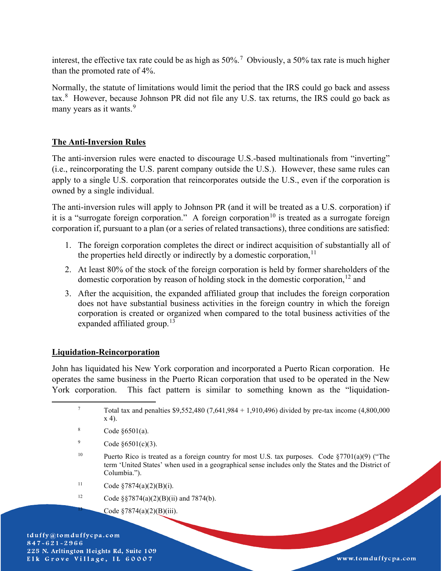interest, the effective tax rate could be as high as  $50\%$ .<sup>[7](#page-2-0)</sup> Obviously, a 50% tax rate is much higher than the promoted rate of 4%.

Normally, the statute of limitations would limit the period that the IRS could go back and assess tax.<sup>[8](#page-2-1)</sup> However, because Johnson PR did not file any U.S. tax returns, the IRS could go back as many years as it wants.<sup>[9](#page-2-2)</sup>

# **The Anti-Inversion Rules**

The anti-inversion rules were enacted to discourage U.S.-based multinationals from "inverting" (i.e., reincorporating the U.S. parent company outside the U.S.). However, these same rules can apply to a single U.S. corporation that reincorporates outside the U.S., even if the corporation is owned by a single individual.

The anti-inversion rules will apply to Johnson PR (and it will be treated as a U.S. corporation) if it is a "surrogate foreign corporation." A foreign corporation<sup>[10](#page-2-3)</sup> is treated as a surrogate foreign corporation if, pursuant to a plan (or a series of related transactions), three conditions are satisfied:

- 1. The foreign corporation completes the direct or indirect acquisition of substantially all of the properties held directly or indirectly by a domestic corporation,  $11$
- 2. At least 80% of the stock of the foreign corporation is held by former shareholders of the domestic corporation by reason of holding stock in the domestic corporation,  $^{12}$  $^{12}$  $^{12}$  and
- 3. After the acquisition, the expanded affiliated group that includes the foreign corporation does not have substantial business activities in the foreign country in which the foreign corporation is created or organized when compared to the total business activities of the expanded affiliated group.<sup>[13](#page-2-6)</sup>

## **Liquidation-Reincorporation**

<span id="page-2-0"></span>John has liquidated his New York corporation and incorporated a Puerto Rican corporation. He operates the same business in the Puerto Rican corporation that used to be operated in the New York corporation. This fact pattern is similar to something known as the "liquidation-

<span id="page-2-4"></span><sup>11</sup> Code §7874(a)(2)(B)(i).

<span id="page-2-6"></span><span id="page-2-5"></span><sup>12</sup> Code §§7874(a)(2)(B)(ii) and 7874(b).

Code  $$7874(a)(2)(B)(iii)$ .

<sup>7</sup> Total tax and penalties \$9,552,480 (7,641,984 + 1,910,496) divided by pre-tax income (4,800,000 x 4).

<span id="page-2-1"></span> $8 \text{ Code } \S 6501(a).$ 

<span id="page-2-2"></span><sup>9</sup> Code  $§6501(c)(3)$ .

<span id="page-2-3"></span><sup>&</sup>lt;sup>10</sup> Puerto Rico is treated as a foreign country for most U.S. tax purposes. Code §7701(a)(9) ("The term 'United States' when used in a geographical sense includes only the States and the District of Columbia.").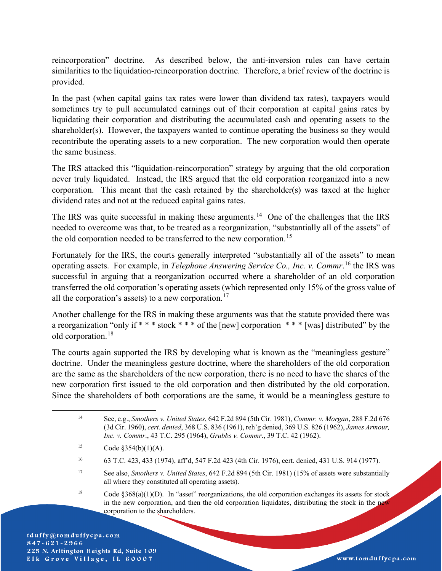reincorporation" doctrine. As described below, the anti-inversion rules can have certain similarities to the liquidation-reincorporation doctrine. Therefore, a brief review of the doctrine is provided.

In the past (when capital gains tax rates were lower than dividend tax rates), taxpayers would sometimes try to pull accumulated earnings out of their corporation at capital gains rates by liquidating their corporation and distributing the accumulated cash and operating assets to the shareholder(s). However, the taxpayers wanted to continue operating the business so they would recontribute the operating assets to a new corporation. The new corporation would then operate the same business.

The IRS attacked this "liquidation-reincorporation" strategy by arguing that the old corporation never truly liquidated. Instead, the IRS argued that the old corporation reorganized into a new corporation. This meant that the cash retained by the shareholder(s) was taxed at the higher dividend rates and not at the reduced capital gains rates.

The IRS was quite successful in making these arguments.<sup>[14](#page-3-0)</sup> One of the challenges that the IRS needed to overcome was that, to be treated as a reorganization, "substantially all of the assets" of the old corporation needed to be transferred to the new corporation.<sup>[15](#page-3-1)</sup>

Fortunately for the IRS, the courts generally interpreted "substantially all of the assets" to mean operating assets. For example, in *Telephone Answering Service Co., Inc. v. Commr*. [16](#page-3-2) the IRS was successful in arguing that a reorganization occurred where a shareholder of an old corporation transferred the old corporation's operating assets (which represented only 15% of the gross value of all the corporation's assets) to a new corporation.<sup>[17](#page-3-3)</sup>

Another challenge for the IRS in making these arguments was that the statute provided there was a reorganization "only if \* \* \* stock \* \* \* of the [new] corporation \* \* \* [was] distributed" by the old corporation.[18](#page-3-4)

The courts again supported the IRS by developing what is known as the "meaningless gesture" doctrine. Under the meaningless gesture doctrine, where the shareholders of the old corporation are the same as the shareholders of the new corporation, there is no need to have the shares of the new corporation first issued to the old corporation and then distributed by the old corporation. Since the shareholders of both corporations are the same, it would be a meaningless gesture to

- <span id="page-3-2"></span><sup>16</sup> 63 T.C. 423, 433 (1974), aff'd, 547 F.2d 423 (4th Cir. 1976), cert. denied, 431 U.S. 914 (1977).
- <span id="page-3-3"></span><sup>17</sup> See also, *Smothers v. United States*, 642 F.2d 894 (5th Cir. 1981) (15% of assets were substantially all where they constituted all operating assets).
- <span id="page-3-4"></span><sup>18</sup> Code  $$368(a)(1)(D)$ . In "asset" reorganizations, the old corporation exchanges its assets for stock in the new corporation, and then the old corporation liquidates, distributing the stock in the new corporation to the shareholders.

<span id="page-3-0"></span><sup>14</sup> See, e.g., *Smothers v. United States*, 642 F.2d 894 (5th Cir. 1981), *Commr. v. Morgan*, 288 F.2d 676 (3d Cir. 1960), *cert. denied*, 368 U.S. 836 (1961), reh'g denied, 369 U.S. 826 (1962), *James Armour, Inc. v. Commr*., 43 T.C. 295 (1964), *Grubbs v. Commr*., 39 T.C. 42 (1962).

<span id="page-3-1"></span><sup>15</sup> Code §354(b)(1)(A).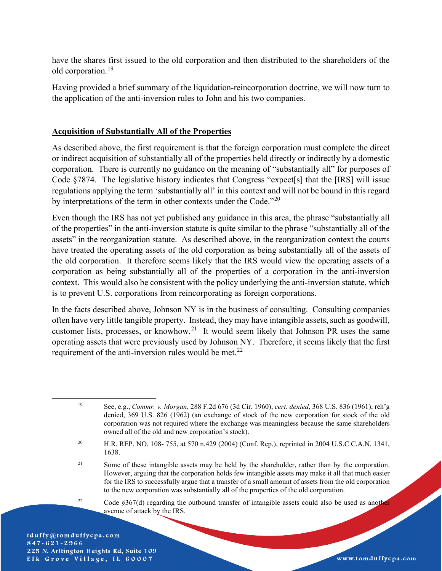have the shares first issued to the old corporation and then distributed to the shareholders of the old corporation.[19](#page-4-0)

Having provided a brief summary of the liquidation-reincorporation doctrine, we will now turn to the application of the anti-inversion rules to John and his two companies.

### **Acquisition of Substantially All of the Properties**

As described above, the first requirement is that the foreign corporation must complete the direct or indirect acquisition of substantially all of the properties held directly or indirectly by a domestic corporation. There is currently no guidance on the meaning of "substantially all" for purposes of Code §7874. The legislative history indicates that Congress "expect[s] that the [IRS] will issue regulations applying the term 'substantially all' in this context and will not be bound in this regard by interpretations of the term in other contexts under the Code."<sup>[20](#page-4-1)</sup>

Even though the IRS has not yet published any guidance in this area, the phrase "substantially all of the properties" in the anti-inversion statute is quite similar to the phrase "substantially all of the assets" in the reorganization statute. As described above, in the reorganization context the courts have treated the operating assets of the old corporation as being substantially all of the assets of the old corporation. It therefore seems likely that the IRS would view the operating assets of a corporation as being substantially all of the properties of a corporation in the anti-inversion context. This would also be consistent with the policy underlying the anti-inversion statute, which is to prevent U.S. corporations from reincorporating as foreign corporations.

In the facts described above, Johnson NY is in the business of consulting. Consulting companies often have very little tangible property. Instead, they may have intangible assets, such as goodwill, customer lists, processes, or knowhow.<sup>[21](#page-4-2)</sup> It would seem likely that Johnson PR uses the same operating assets that were previously used by Johnson NY. Therefore, it seems likely that the first requirement of the anti-inversion rules would be met. $^{22}$  $^{22}$  $^{22}$ 

<span id="page-4-3"></span><sup>22</sup> Code §367(d) regarding the outbound transfer of intangible assets could also be used as another avenue of attack by the IRS.

<span id="page-4-0"></span><sup>19</sup> See, e.g., *Commr. v. Morgan*, 288 F.2d 676 (3d Cir. 1960), *cert. denied*, 368 U.S. 836 (1961), reh'g denied, 369 U.S. 826 (1962) (an exchange of stock of the new corporation for stock of the old corporation was not required where the exchange was meaningless because the same shareholders owned all of the old and new corporation's stock).

<span id="page-4-1"></span><sup>&</sup>lt;sup>20</sup> H.R. REP. NO. 108- 755, at 570 n.429 (2004) (Conf. Rep.), reprinted in 2004 U.S.C.C.A.N. 1341, 1638.

<span id="page-4-2"></span><sup>&</sup>lt;sup>21</sup> Some of these intangible assets may be held by the shareholder, rather than by the corporation. However, arguing that the corporation holds few intangible assets may make it all that much easier for the IRS to successfully argue that a transfer of a small amount of assets from the old corporation to the new corporation was substantially all of the properties of the old corporation.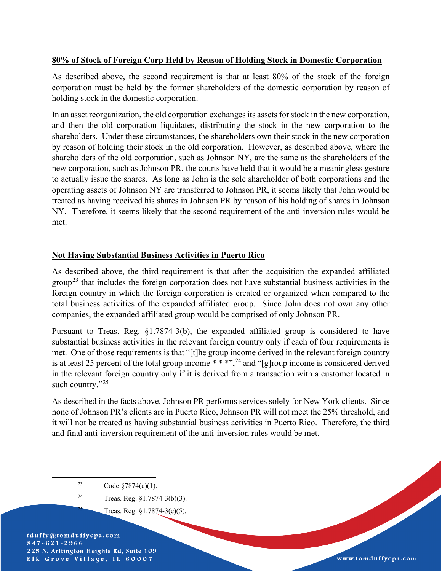### **80% of Stock of Foreign Corp Held by Reason of Holding Stock in Domestic Corporation**

As described above, the second requirement is that at least 80% of the stock of the foreign corporation must be held by the former shareholders of the domestic corporation by reason of holding stock in the domestic corporation.

In an asset reorganization, the old corporation exchanges its assets for stock in the new corporation, and then the old corporation liquidates, distributing the stock in the new corporation to the shareholders. Under these circumstances, the shareholders own their stock in the new corporation by reason of holding their stock in the old corporation. However, as described above, where the shareholders of the old corporation, such as Johnson NY, are the same as the shareholders of the new corporation, such as Johnson PR, the courts have held that it would be a meaningless gesture to actually issue the shares. As long as John is the sole shareholder of both corporations and the operating assets of Johnson NY are transferred to Johnson PR, it seems likely that John would be treated as having received his shares in Johnson PR by reason of his holding of shares in Johnson NY. Therefore, it seems likely that the second requirement of the anti-inversion rules would be met.

## **Not Having Substantial Business Activities in Puerto Rico**

As described above, the third requirement is that after the acquisition the expanded affiliated  $\gamma^{23}$  $\gamma^{23}$  $\gamma^{23}$  that includes the foreign corporation does not have substantial business activities in the foreign country in which the foreign corporation is created or organized when compared to the total business activities of the expanded affiliated group. Since John does not own any other companies, the expanded affiliated group would be comprised of only Johnson PR.

Pursuant to Treas. Reg. §1.7874-3(b), the expanded affiliated group is considered to have substantial business activities in the relevant foreign country only if each of four requirements is met. One of those requirements is that "[t]he group income derived in the relevant foreign country is at least 25 percent of the total group income  $***$ ,  $^{24}$  $^{24}$  $^{24}$  and "[g]roup income is considered derived in the relevant foreign country only if it is derived from a transaction with a customer located in such country."<sup>[25](#page-5-2)</sup>

As described in the facts above, Johnson PR performs services solely for New York clients. Since none of Johnson PR's clients are in Puerto Rico, Johnson PR will not meet the 25% threshold, and it will not be treated as having substantial business activities in Puerto Rico. Therefore, the third and final anti-inversion requirement of the anti-inversion rules would be met.

Treas. Reg. §1.7874-3(c)(5).

<span id="page-5-0"></span><sup>&</sup>lt;sup>23</sup> Code §7874(c)(1).

<span id="page-5-2"></span><span id="page-5-1"></span><sup>24</sup> Treas. Reg. §1.7874-3(b)(3).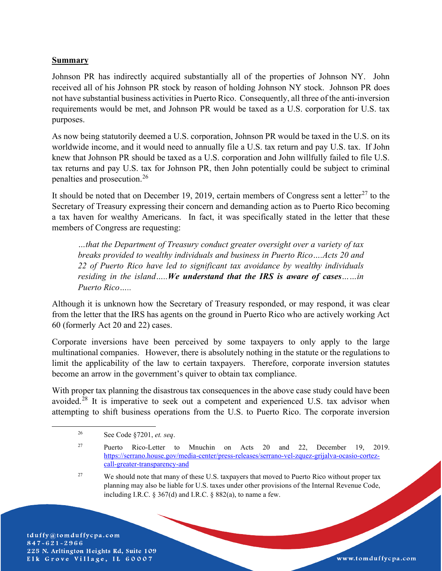### **Summary**

Johnson PR has indirectly acquired substantially all of the properties of Johnson NY. John received all of his Johnson PR stock by reason of holding Johnson NY stock. Johnson PR does not have substantial business activities in Puerto Rico. Consequently, all three of the anti-inversion requirements would be met, and Johnson PR would be taxed as a U.S. corporation for U.S. tax purposes.

As now being statutorily deemed a U.S. corporation, Johnson PR would be taxed in the U.S. on its worldwide income, and it would need to annually file a U.S. tax return and pay U.S. tax. If John knew that Johnson PR should be taxed as a U.S. corporation and John willfully failed to file U.S. tax returns and pay U.S. tax for Johnson PR, then John potentially could be subject to criminal penalties and prosecution.[26](#page-6-0)

It should be noted that on December 19, 2019, certain members of Congress sent a letter<sup>[27](#page-6-1)</sup> to the Secretary of Treasury expressing their concern and demanding action as to Puerto Rico becoming a tax haven for wealthy Americans. In fact, it was specifically stated in the letter that these members of Congress are requesting:

*…that the Department of Treasury conduct greater oversight over a variety of tax breaks provided to wealthy individuals and business in Puerto Rico….Acts 20 and 22 of Puerto Rico have led to significant tax avoidance by wealthy individuals residing in the island…..We understand that the IRS is aware of cases……in Puerto Rico…..*

Although it is unknown how the Secretary of Treasury responded, or may respond, it was clear from the letter that the IRS has agents on the ground in Puerto Rico who are actively working Act 60 (formerly Act 20 and 22) cases.

Corporate inversions have been perceived by some taxpayers to only apply to the large multinational companies. However, there is absolutely nothing in the statute or the regulations to limit the applicability of the law to certain taxpayers. Therefore, corporate inversion statutes become an arrow in the government's quiver to obtain tax compliance.

<span id="page-6-1"></span><span id="page-6-0"></span>With proper tax planning the disastrous tax consequences in the above case study could have been avoided.<sup>[28](#page-6-2)</sup> It is imperative to seek out a competent and experienced U.S. tax advisor when attempting to shift business operations from the U.S. to Puerto Rico. The corporate inversion

<span id="page-6-2"></span><sup>27</sup> We should note that many of these U.S. taxpayers that moved to Puerto Rico without proper tax planning may also be liable for U.S. taxes under other provisions of the Internal Revenue Code, including I.R.C.  $\S 367(d)$  and I.R.C.  $\S 882(a)$ , to name a few.

<sup>26</sup> See Code §7201, *et. seq*.

<sup>27</sup> Puerto Rico-Letter to Mnuchin on Acts 20 and 22, December 19, 2019. [https://serrano.house.gov/media-center/press-releases/serrano-vel-zquez-grijalva-ocasio-cortez](https://serrano.house.gov/media-center/press-releases/serrano-vel-zquez-grijalva-ocasio-cortez-call-greater-transparency-and)[call-greater-transparency-and](https://serrano.house.gov/media-center/press-releases/serrano-vel-zquez-grijalva-ocasio-cortez-call-greater-transparency-and)